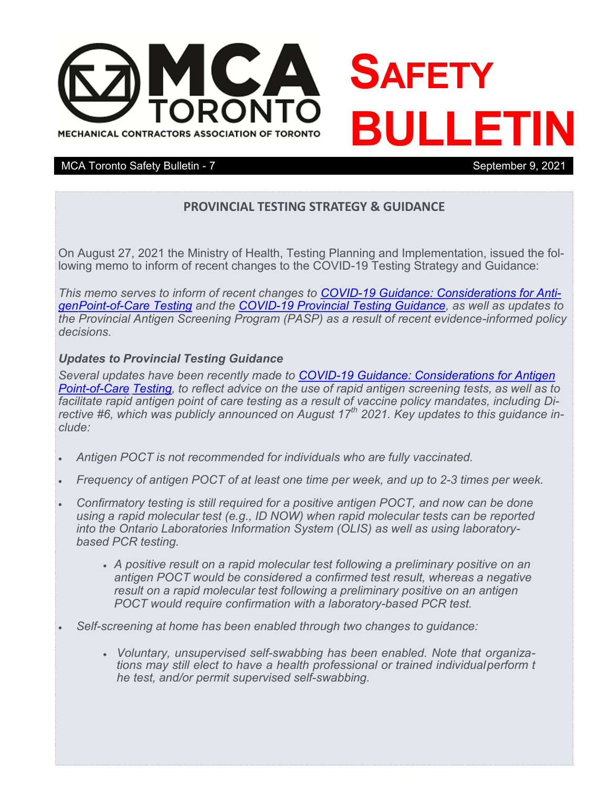

### MCA Toronto Safety Bulletin - 7 September 9, 2021

### **PROVINCIAL TESTING STRATEGY & GUIDANCE**

On August 27, 2021 the Ministry of Health, Testing Planning and Implementation, issued the following memo to inform of recent changes to the COVID-19 Testing Strategy and Guidance:

*This memo serves to inform of recent changes to COVID-[19 Guidance: Considerations for Anti](https://www.health.gov.on.ca/en/pro/programs/publichealth/coronavirus/docs/Antigen_Screening_Guidance_2021-03-5.pdf)[gen](https://www.health.gov.on.ca/en/pro/programs/publichealth/coronavirus/docs/Antigen_Screening_Guidance_2021-03-5.pdf)Point-of-[Care Testing](https://www.health.gov.on.ca/en/pro/programs/publichealth/coronavirus/docs/Antigen_Screening_Guidance_2021-03-5.pdf) and the COVID-[19 Provincial Testing Guidance,](https://www.health.gov.on.ca/en/pro/programs/publichealth/coronavirus/docs/2019_testing_guidance.pdf) as well as updates to the Provincial Antigen Screening Program (PASP) as a result of recent evidence-informed policy decisions.*

#### *Updates to Provincial Testing Guidance*

*Several updates have been recently made to COVID-[19 Guidance: Considerations for Antigen](https://www.health.gov.on.ca/en/pro/programs/publichealth/coronavirus/docs/Antigen_Screening_Guidance_2021-03-5.pdf)* Point-of-Care [Testing,](https://www.health.gov.on.ca/en/pro/programs/publichealth/coronavirus/docs/Antigen_Screening_Guidance_2021-03-5.pdf) to reflect advice on the use of rapid antigen screening tests, as well as to *facilitate rapid antigen point of care testing as a result of vaccine policy mandates, including Directive #6, which was publicly announced on August 17th 2021. Key updates to this guidance include:*

- *Antigen POCT is not recommended for individuals who are fully vaccinated.*
- Frequency of antigen POCT of at least one time per week, and up to 2-3 times per week.
- *Confirmatory testing is still required for a positive antigen POCT, and now can be done using a rapid molecular test (e.g., ID NOW) when rapid molecular tests can be reported into the Ontario Laboratories Information System (OLIS) as well as using laboratorybased PCR testing.*
	- *A positive result on a rapid molecular test following a preliminary positive on an antigen POCT would be considered a confirmed test result, whereas a negative result on a rapid molecular test following a preliminary positive on an antigen POCT would require confirmation with a laboratory-based PCR test.*
- *Self-screening at home has been enabled through two changes to guidance:*
	- *Voluntary, unsupervised self-swabbing has been enabled. Note that organizations may still elect to have a health professional or trained individualperform t he test, and/or permit supervised self-swabbing.*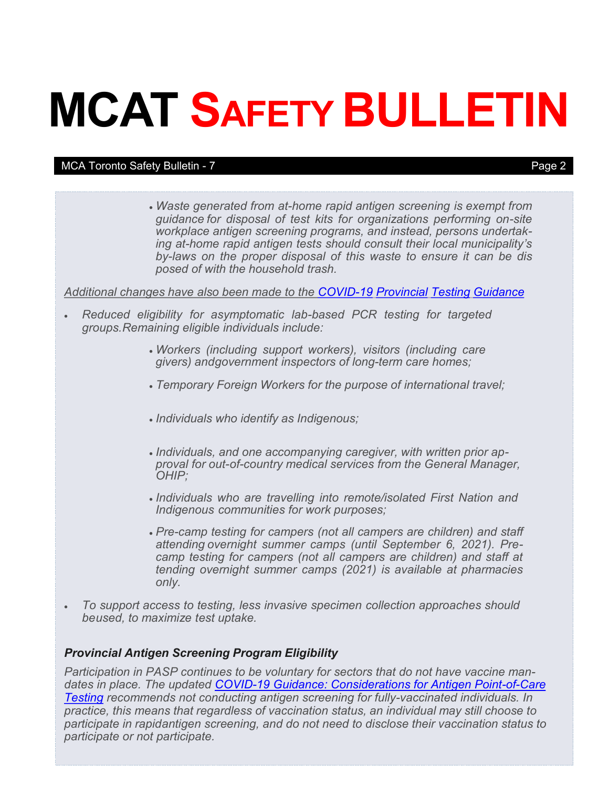# **MCAT SAFETY BULLETIN**

#### MCA Toronto Safety Bulletin - 7 Page 2

 *Waste generated from at-home rapid antigen screening is exempt from guidance for disposal of test kits for organizations performing on-site workplace antigen screening programs, and instead, persons undertaking at-home rapid antigen tests should consult their local municipality's by-laws on the proper disposal of this waste to ensure it can be dis posed of with the household trash.*

#### *Additional changes have also been made to the COVID-19 [Provincial](https://www.health.gov.on.ca/en/pro/programs/publichealth/coronavirus/docs/2019_testing_guidance.pdf) Testing Guidance*

- *Reduced eligibility for asymptomatic lab-based PCR testing for targeted groups.Remaining eligible individuals include:*
	- *Workers (including support workers), visitors (including care givers) andgovernment inspectors of long-term care homes;*
	- *Temporary Foreign Workers for the purpose of international travel;*
	- *Individuals who identify as Indigenous;*
	- *Individuals, and one accompanying caregiver, with written prior approval for out-of-country medical services from the General Manager, OHIP;*
	- *Individuals who are travelling into remote/isolated First Nation and Indigenous communities for work purposes;*
	- *Pre-camp testing for campers (not all campers are children) and staff attending overnight summer camps (until September 6, 2021). Precamp testing for campers (not all campers are children) and staff at tending overnight summer camps (2021) is available at pharmacies only.*
- *To support access to testing, less invasive specimen collection approaches should beused, to maximize test uptake.*

### *Provincial Antigen Screening Program Eligibility*

*Participation in PASP continues to be voluntary for sectors that do not have vaccine mandates in place. The updated COVID-[19 Guidance: Considerations for Antigen Point](https://www.health.gov.on.ca/en/pro/programs/publichealth/coronavirus/docs/Antigen_Screening_Guidance_2021-03-5.pdf)-of-Care [Testing](https://www.health.gov.on.ca/en/pro/programs/publichealth/coronavirus/docs/Antigen_Screening_Guidance_2021-03-5.pdf) recommends not conducting antigen screening for fully-vaccinated individuals. In practice, this means that regardless of vaccination status, an individual may still choose to participate in rapidantigen screening, and do not need to disclose their vaccination status to participate or not participate.*